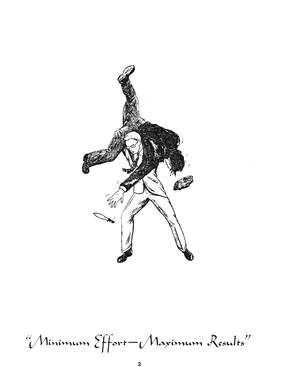

 $\bar{z}$ 

 $\bar{z}$ 

 $\hat{\mathcal{A}}$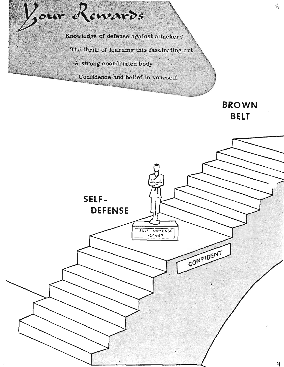# our Remards

Knowledge of defense against attackers

The thrill of learning this fascinating art

A strong coordinated body

Confidence and belief in yourself

**BROWN BELT** 

 $\lambda$ 

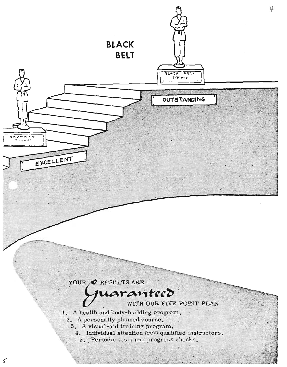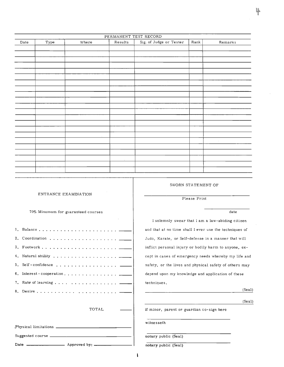|      |      |              |         | PERMANENT TEST RECORD   |      |         |
|------|------|--------------|---------|-------------------------|------|---------|
| Date | Type | $\rm{Where}$ | Results | Sig. of Judge or Tester | Rank | Remarks |
|      |      |              |         |                         |      |         |
|      |      |              |         |                         |      |         |
|      |      |              |         |                         |      |         |
|      |      |              |         |                         |      |         |
|      |      |              |         |                         |      |         |
|      |      |              |         |                         |      |         |
|      |      |              |         | $\sim$                  |      |         |
|      |      |              |         |                         |      |         |
|      |      |              |         |                         |      |         |
|      |      |              |         |                         |      |         |
|      |      |              |         |                         |      |         |
|      |      |              |         |                         |      |         |
|      |      |              |         |                         |      |         |
|      |      |              |         |                         |      |         |
|      |      |              |         |                         |      |         |
|      |      |              |         |                         |      |         |
|      |      |              |         |                         |      |         |
|      |      |              |         |                         |      |         |
|      |      |              |         |                         |      |         |
|      |      |              |         |                         |      |         |
|      |      |              |         |                         |      |         |
|      |      |              |         |                         |      |         |
|      |      |              |         |                         |      |         |

#### ENTRANCE EXAMINATION

70% Minumum for guaranteed courses

| 7. Rate of learning $\_\_$ |  |  |  |  |  |  |  |
|----------------------------|--|--|--|--|--|--|--|
|                            |  |  |  |  |  |  |  |
|                            |  |  |  |  |  |  |  |
| TOTAL.                     |  |  |  |  |  |  |  |
|                            |  |  |  |  |  |  |  |
|                            |  |  |  |  |  |  |  |
|                            |  |  |  |  |  |  |  |

#### SWORN STATEMENT OF

Please Print

date

I solemnly swear that I am a law-abiding citizen and that at no time shall I ever use the techniques of Judo, Karate, or Self-defense in a manner that will inflict personal injury or bodily harm to anyone, except in cases of emergency needs whereby my life and safety, or the lives and physical safety of others may depend upon my knowledge and application of these techniques.

| ۰. | ٠ |  |
|----|---|--|
|    |   |  |

(Seal)

if minor, parent or guardian co-sign here

witnesseth

| notary public (Seal) |  |
|----------------------|--|
|                      |  |

Date Approved by: **\_** notary public (Seal)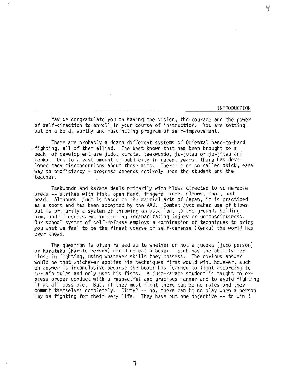INTRODUCTION

May we congratulate you on having the vision, the courage and the power of self-direction to enroll in your course of instruction. You are setting out on a bold, worthy and fascinating program of self-improvement.

There are probably a dozen different systems of Oriental hand-to-hand fighting, all of them allied. The best known that has been brought to a peak of development are judo, karate, taekwondo, ju-jutsu or ju-jitsu and kenka. Due to a vast amount of publicity in recent years, there has developed many misconceptions about these arts. There is no so-called quick, easy way to proficiency - progress depends entirely upon the student and the teacher.

Taekwondo and karate deals primarily with blows directed to vulnerable areas -- strikes with fist, open hand, fingers, knee, elbows, foot, and head. Although judo is based on the martial arts of Japan, it is practiced as a sport and has been accepted by the AAU. Combat judo makes use of blows but is primarily a system of throwing an assailant to the ground, holding<br>him, and if necessary, inflicting incapacitating injury or unconsciousness. Our school system of self-defense employs a combination of techniques to bring you what we feel to be the finest course of self-defense (Kenka) the world has ever known.

The question is often raised as to whether or not a judoka (judo person) or karateka (karate person) could defeat a boxer. Each has the ability for close-in fighting, using whatever skills they possess. The obvious answer would be that whichever applies his techniques first would win, however, such an answer is inconclusive because the boxer has learned to fight according to certain rules and only uses his fists. A judo-karate student is taught to express proper conduct with a respectful and gracious manner and to avoid fighting<br>if at all possible. But, if they must fight there can be no rules and they commit themselves completely. Dirty? -- no, there can be no play when a person may be fighting for their very life. They have but one objective -- to win !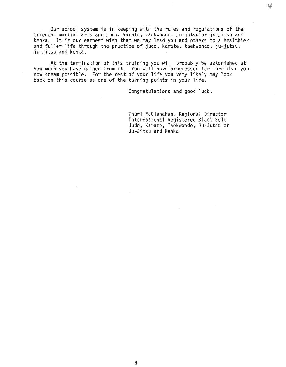Our school system is in keeping with the rules and regulations of the Oriental martial arts and judo, karate, taekwondo, ju-jutsu or ju-jitsu and kenka. It is our earnest wish that we may lead you and others to a healthier and fuller life through the practice of judo, karate, taekwondo, ju-jutsu, ju-jitsu and kenka.

At the termination of this training you will probably be astonished at how much you have gained from it. You will have progressed far more than you now dream possible. For the rest of your life you very likely may look back on this course as one of the turning points in your life.

Congratulations and good luck,

Thurl McClanahan, Regional Director International Registered Black Belt Judo, Karate, Taekwondo, Ju-Jutsu or Ju-Jitsu and Kenka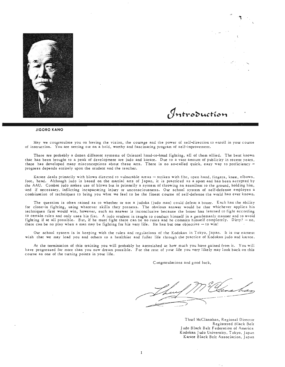

#### **JIGORO KANO**

May we congratulate you on having the ViSion, the courage and the power of self-direction to enroll in your course of instruction. You are setting out on a bold, worthy and fascinating program of self-improvement.

There are probably a dozen different systems of Oriental hand-to-hand fighting, all of them ailied. The best known that has been brought to a peak of development ate judo and karate. Due to a vast amount of publicity in tecent years, there has developed many misconceptions about these arts. There is no so-called quick, easy way to proficiency  $$ progress depends entirely upon the student and the teacher.

Karate deals primarily with blows directed to vulnerable areas -- strikes with fist, open hand, fingers, knee, elbows, foot, head. Although judo is based on the martial arts of Japan, it is practiced as a sport and has been accepted by the AAU. Combat judo makes use of blows but is primarily a system of throwing an assailant to the ground, holding him, -and if necessary, inflicting incapacating injury or unconsciousness. Our school system of self-defense employes a combination of techniques to bring you what we feel to be the finest course of self-defense the world has ever known.

The question is often raised as to whether or not a judoka (judo man) could defeat a boxer. Each has rhe ability for close-in fighting, using whatever skills they possess. The obvious answer would be that whichever applies his techniques first would win, however, such an answer is inconclusive because the boxer has learned to fight according to certain rules and only uses his fist. A judo Student is taught to conduct himself in a gentlemanly manner and to avoid fighting if at all possible. But, if he must fight there can be no rules and he commits himself completely. Dirty?  $\rightarrow$  no, there can be no play when a man may be fighting for his very life. He has but one objective  $-$  to win!

Our school system is in keeping with the rules and regulations of the Kodokan in Tokyo, Japan. It is our earnest wish that we may lead you and Others to a healthier and fuller life through the practice of Kodokan judo and karate.

At the termination of this training you will probably be astonished at how much you have gained from it. You will have progressed far more than you now dream possible. For the rest of your life you very likely may look back on this course as one of the turning points in your life.

Congratulations and good luck,

Introduction

Thurl McClanahan, Regional Director Registered Black Belt Judo Black Belt Federation of America Kodokan Judo University, Tokyo, Japan Karate Black Belt Association, Japan

**· ..** •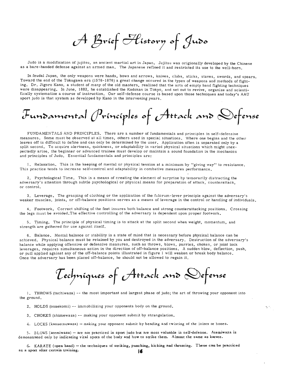A Brief Flistory of Judo

Judo is a modification of jujitsu, an ancient martial art in Japan. Jujitsu was origionally developed by the Chinese as a bare-handed defense against an armed man. The Japanese refined it and restricted its use to the well-born.

In feudal Japan, the only weapons were hands, bows and arrows, knives, clubs, sticks, staves, swords, and spears. Toward the end of the Tokugawa era (1576-1876) a great change occured in the types of weapons and methods of fighting. Dr. Jigoro Kano, a student of many of the old masters, realized that the arts of empty hand fighting techniques were disappearing. In June, 1882, he established the Kodokan in Tokyo, and set out to revive, organize and scientifically systematize a course of instruction. Our self-defense course is based upon those techniques and today's AAU sport judo is that system as developed by Kano in the intervening years.

Fundamental Principles of Attack and Defense

FUNDAMENTALS AND PRINCIPLES. There are a number of fundamentals and principles in self-defensive measures. Some must be observed at all times, others used in special situations. Where one begins and the other leaves off is difficult to define and can only be determined by the user. Application often is separated only by a split second. To acquire alertness, quickness, or adaptability in varied physical situations which might unexpectedly arise, the beginner or advanced trainee must develop or maintain a sound foundation in the mechanics and principles of Judo. Essential fundamentals and principles are:

1. Relaxation. This is the keeping of mental or physical tension at a minimum by "giving way" to resistance. This practice tends to increase self-control and adaptability in combative measures performance.

2. Psychological Time. This is a means of creating the element of surprise by temorarily distracting the adversary's attention through subtle psychological or physical means for preparation of attack, counterattack, or control.

3. Leverage. The grasping of clothing or the application of the fulcrum-lever principle against the adversary's weaker muscles, joints, or off-balance positions serves as a means of leverage in the control or handling of individuals.

4. Footwork. Correct shifting of the feet insures both balance and strong counterattacking positions. Crossing the legs must be avoided. The effective controlling of the adversary is dependent upon proper footwork.

5. Timing. The principle of physical timing is to attack at the split second when weight, momentum, and strength are gathered for use against itself.

6. Balance. Mental balance or stability is a state of mind that is necessary before physical balance can be achieved. Physical balance must be retained by you and destroyed in the adversary. Destruction of the adversary's balance while applying offensive or defensive measures, such as throws, blows, parries, chokes, or joint lock leverages, requires simultaneous action in the direction of off-balance positions. A sudden blow, deflection, push, or pull applied against any of the off-balance points illustrated in figure 1 will weaken or break body balance. Once the adversary has been placed off-balance, he should not be allowed to regain it.

Techniques of Attack and Defense

5 N.

1. THROWS (tachiwaza) -- the most important and largest phase of judo; the art of throwing your opponent into the ground.

- 2. HOLDS (osaekomi) -- immobilizing your opponents body on the ground.
- 3. CHOKES (shimewaza) -- making your opponent submit by strangulation.
- 4. LOCKS (kansetsuwaza) making your opponent submit by bending and twisting of the joints or bones.

5. BLOWS (atemiwaza) - are not practiced in spore judo but are most valuable in seU-defense. Atemiwaza *is* demonstrated only by indicating vital spors of the body and how to strike them. Almost the same as karate.

6. KARATE (open hand) - the techniques of striking, punching, kicking and thrusting. These can **be** practiced as <sup>a</sup> spore after cereain training. **,.**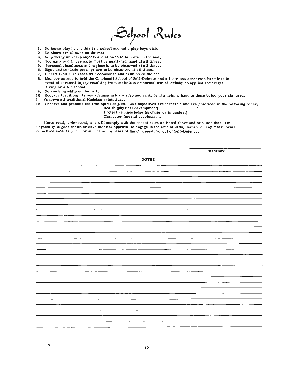School Rules

- 1. No horse play! . . . this is a school and not a play boys club.
- 2. No shoes are allowed on the mat.
- 3. No jewelry or sharp objects are allowed to be worn on the mat.
- 4. Toe nails and finger nails must be neatly trimmed at all times.
- S. Personal cleanliness and hygiene is to be observed at all times.
- 6. Signs and periodic postings are to be observed at all times.
- 7. BE ON TIME! Classes will commense and dismiss on the dot.
- B. Member agrees to hold the Cincinnati School of Self-Defense and all persons concerned harmless in event of personal injury resulting from malicious or normal use of techniques applied and taught during or after school.
- 9. No smoking while on the mat.

٦,

- 10. Kodokan tradition: As you advance in knowledge and rank, lend a helping hand to those below your standard.
- II. Observe all traditional Kodokan salutations.
- 12. Observe and promote the true spirit of judo. Our objectives are threefold and are practiced in the following order:

Health (physical development) Protective Knowledge (proficiency in contest)

Character (mental development)

I have read, understand. and will comply with the school rules as listed above and stipulate that I am physically in good health or have medical approval to engage in the arts of Judo, Karate or any other forms of self-defense taught in *or* about the premises of the Cincinnati School of Self-Defense.

| <b>NOTES</b> |
|--------------|
|              |
|              |
|              |
|              |
|              |
|              |
|              |
|              |
|              |
|              |
|              |
|              |
|              |
|              |
|              |
|              |
|              |

signature

ŕ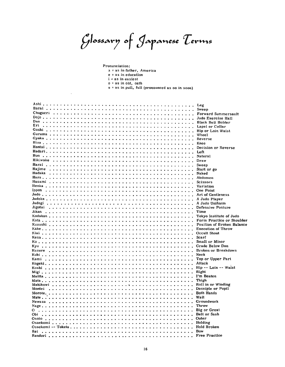Glossary of Japanese Terms

Pronunc iation:

 $\lambda$ 

- $a = as$  in father, America  $e = as$  in education
- $i = as$  in easiest
- $o = as in old, oath$
- $u = as in pull, full (pronounced as oo in soon)$

|          |  |  |  |  |  |  |  |  |  |  |  |  |  | Leg                        |
|----------|--|--|--|--|--|--|--|--|--|--|--|--|--|----------------------------|
|          |  |  |  |  |  |  |  |  |  |  |  |  |  | Sweep                      |
| Chugaeri |  |  |  |  |  |  |  |  |  |  |  |  |  | Forward Summersault        |
|          |  |  |  |  |  |  |  |  |  |  |  |  |  | Judo Exercise Hall         |
|          |  |  |  |  |  |  |  |  |  |  |  |  |  | Black Belt Holder          |
| Eri      |  |  |  |  |  |  |  |  |  |  |  |  |  | Lapel or Collar            |
|          |  |  |  |  |  |  |  |  |  |  |  |  |  | Hip or Loin Waist          |
|          |  |  |  |  |  |  |  |  |  |  |  |  |  | <b>Wheel</b>               |
|          |  |  |  |  |  |  |  |  |  |  |  |  |  | Reverse                    |
| Hiza     |  |  |  |  |  |  |  |  |  |  |  |  |  | Knee                       |
|          |  |  |  |  |  |  |  |  |  |  |  |  |  | Decision or Reverse        |
|          |  |  |  |  |  |  |  |  |  |  |  |  |  | Left                       |
|          |  |  |  |  |  |  |  |  |  |  |  |  |  | Natural                    |
| Hikiwake |  |  |  |  |  |  |  |  |  |  |  |  |  | Draw                       |
|          |  |  |  |  |  |  |  |  |  |  |  |  |  |                            |
| Hajime   |  |  |  |  |  |  |  |  |  |  |  |  |  | Sweep                      |
| Hadaka   |  |  |  |  |  |  |  |  |  |  |  |  |  | Start or go                |
|          |  |  |  |  |  |  |  |  |  |  |  |  |  | Naked                      |
|          |  |  |  |  |  |  |  |  |  |  |  |  |  | Abdomen                    |
|          |  |  |  |  |  |  |  |  |  |  |  |  |  | Scissors                   |
|          |  |  |  |  |  |  |  |  |  |  |  |  |  | Variation                  |
| Ippon    |  |  |  |  |  |  |  |  |  |  |  |  |  | <b>One Point</b>           |
|          |  |  |  |  |  |  |  |  |  |  |  |  |  | Art of Gentleness          |
|          |  |  |  |  |  |  |  |  |  |  |  |  |  | A Judo Player              |
| Judogi   |  |  |  |  |  |  |  |  |  |  |  |  |  | A Judo Uniform             |
| Jigotai  |  |  |  |  |  |  |  |  |  |  |  |  |  | Defensive Posture          |
| Jikan    |  |  |  |  |  |  |  |  |  |  |  |  |  | Time                       |
|          |  |  |  |  |  |  |  |  |  |  |  |  |  | Tokyo Institute of Judo    |
|          |  |  |  |  |  |  |  |  |  |  |  |  |  | Form Practice or Shoulder  |
|          |  |  |  |  |  |  |  |  |  |  |  |  |  | Position of Broken Balance |
|          |  |  |  |  |  |  |  |  |  |  |  |  |  | <b>Execution of Throw</b>  |
|          |  |  |  |  |  |  |  |  |  |  |  |  |  | <b>Occult Shout</b>        |
|          |  |  |  |  |  |  |  |  |  |  |  |  |  | Scarf                      |
|          |  |  |  |  |  |  |  |  |  |  |  |  |  | Small or Minor             |
| Kvu      |  |  |  |  |  |  |  |  |  |  |  |  |  | Grade Below Dan            |
| Kuzure   |  |  |  |  |  |  |  |  |  |  |  |  |  | Broken or Breakdown        |
| Kubi .   |  |  |  |  |  |  |  |  |  |  |  |  |  | Neck                       |
| Kami     |  |  |  |  |  |  |  |  |  |  |  |  |  | Top or Upper Part          |
|          |  |  |  |  |  |  |  |  |  |  |  |  |  | Attack                     |
|          |  |  |  |  |  |  |  |  |  |  |  |  |  |                            |
| Koshi    |  |  |  |  |  |  |  |  |  |  |  |  |  | Hip -- Loin -- Waist       |
|          |  |  |  |  |  |  |  |  |  |  |  |  |  | Right                      |
|          |  |  |  |  |  |  |  |  |  |  |  |  |  | I'm Beaten                 |
|          |  |  |  |  |  |  |  |  |  |  |  |  |  | Thigh                      |
|          |  |  |  |  |  |  |  |  |  |  |  |  |  | Roll in or Winding         |
| Montei   |  |  |  |  |  |  |  |  |  |  |  |  |  | Desciple or Pupil          |
|          |  |  |  |  |  |  |  |  |  |  |  |  |  | <b>Both Hands</b>          |
|          |  |  |  |  |  |  |  |  |  |  |  |  |  | Wait                       |
|          |  |  |  |  |  |  |  |  |  |  |  |  |  | Groundwork                 |
|          |  |  |  |  |  |  |  |  |  |  |  |  |  | Throw                      |
|          |  |  |  |  |  |  |  |  |  |  |  |  |  | Big or Great               |
| Obi      |  |  |  |  |  |  |  |  |  |  |  |  |  | Belt or Sash               |
|          |  |  |  |  |  |  |  |  |  |  |  |  |  | Outer                      |
|          |  |  |  |  |  |  |  |  |  |  |  |  |  | Holding                    |
|          |  |  |  |  |  |  |  |  |  |  |  |  |  | Hold Broken                |
|          |  |  |  |  |  |  |  |  |  |  |  |  |  | <b>Bow</b>                 |
|          |  |  |  |  |  |  |  |  |  |  |  |  |  | <b>Free Practice</b>       |
|          |  |  |  |  |  |  |  |  |  |  |  |  |  |                            |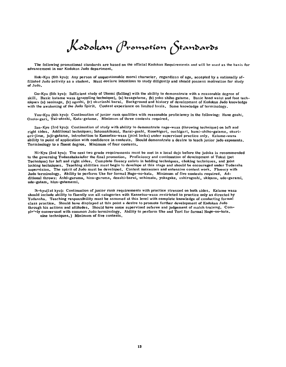Kodokan Promotion Standards

The following promotional standards are based on the official Kodokan Requirements and will be used as the basis Cor advancement in our Kodokan Judo department.

Rok-Kyu (6th kyu): Any person of unquestionable moral character, regardless of age, accepted by a nationally affiliated Judo activity as a student. Must declare intentions to study diligently and should possess motivation for study or Judo.

Go-Kyu (5th kyu): Sufficient study of Ukemi (falling) with the abilily to demonstrate with a reasonable degree of skill. Basic katame waza (grappling technique), (a) kesagatame, (b) yoko shiho gatame. Basic hand waist and foot techniques (a) seoinage. (b) ogoshi, (c) okuriashi barai. Background and history of development of Kodokan Judo knowledge with the awakening of the Judo Spirit. Contest experience on limited basis. Some knowledge of terminology.

Yon-Kyu (4th kyu): Continuation of junior rank qual1ties with reasonable proficiency in the following: Hane goshi, Osoto-gari. Tai-otoshi. Kata-galame. Minimum of three contests required.

San-Kyu (3rd kyu): Continuation of study with ability to demonstrate nage-waza (throwing technique) on left and right sides. Additional techniques; Sotomakikomi, Harai-goshi, Kouehigari. ouchigari. kami-shiho-galame, okurieri-jime, juji-gatame, introduction to Kansetsu-waza (joint locks) under supervised practice only. Katame-waza ability to point of application with confidence in contests. Should demonstrate a desire to teach junior judo exponents. Terminology to a fluent degree. Minimum of four contests.

Ni-Kyu (2nd kyu): The next two grade reqUirements must be met in a local dojo before the judoka is recommended to the governing Yudanshakaiafor the final promotion. Proficiency and continuation of development of Tokui (pet Technique) for left and right sides. Complete fluency exists in holding techniques, choking techniques, and joint locking techniques. Teaching abilities must begin to develope at this stage and should be encouraged under Yudansha supervision. The spirit of Judo must be developed. Contest successes and extensive contest work. Fluency with Judo terminology. Ability to perform Uke for formal Nage-no-kala. Minimum of five contests required. Additional throws: Ashi-guruma, hiza-guruma, deashi-barai, uchimata, yokagake, ushirogoshi, ukiqaza, ude-garami, ude-gatam. hiza-gatamemi.

Ik-kyu(lst kyu): Continuation of junior rank requirements with practice stressed on both sides. Katame waza should include ability to fluently use all catagories with Kansetsu-waza restricted to practice only as directed by Yudansha. Teaching responsibility must be assumed at this level with complete knowledge of conducting formal class practice. Should have displayed at this point a desire to promote further development of Kodokan Judo through his actions and attitudes. Should have some supervised referee and judgement of match training. Comple<sup>t</sup>aly conversant with common Judo terminology. Ability to perform Uke and Tori for formal Nage-no-kata. nine techniques.) Minimum of five contests.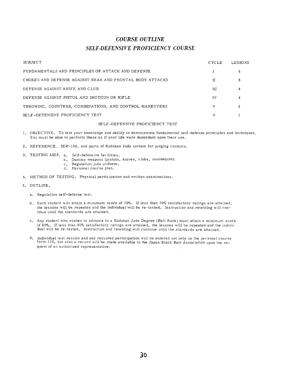# *COURSE OUTLINE SELF·DEFENSIVE PROFICIENCY COURSE*

| SUBJECT                                                  | CYCLE | LESSONS |
|----------------------------------------------------------|-------|---------|
| FUNDAMENTALS AND PRINCIPLES OF ATTACK AND DEFENSE        |       | 6       |
| CHOKES AND DEFENSE AGAINST REAR AND FRONTAL BODY ATTACKS | н     | 6       |
| DEFENSE AGAINST KNIFE AND CLUB                           | ш     | 4       |
| DEFENSE AGAINST PISTOL AND SHOTGUN OR RIFLE              | IV    | 4       |
| THROWING, COUNTERS, COMBINATIONS, AND CONTROL MANEUVERS  | v     |         |
| SELF-DEFENSIVE PROFICIENCY TEST                          | v     |         |

#### SELF-DEFENSIVE PROFICIENCY TEST

- 1. OBJECTIVE. To test your knowledge and ability to demonstrate fundamental self-defense principles and techniques. You must be able to perform these as if your life were dependant upon their use.
- 2. REFERENCE. SDP-l56, and parts of Kodokan Judo system for judging contests.
- 3. TESTING AIDS. a. Self-defensive facilities.
	- b. Dummy weapons (pistols, knives, clubs, mannequin).
	- c. Regulation judo uniform.
	- d. Personal course plan.
- 4. METHOD OF TESTING. Physical participation and written examinations.
- 5. OUTLINE.
	- a. Regulation self-defense test.
	- b. Each student will attain a minimum score of 70%. If less than 70% satisfactory ratings are attained, the lessons will be repeated and the individual will be re-tested. Instruction and retesting will continue until the standards are attained.
	- c. Any student who wishes to advance to a Kodokan Judo Degree (Belt Rank) must attain a minimum score of *800/0.* If less than 80% satisfactory ratings are attained, the lessons will be repeated and the individual will be re-tested. Instruction and retesting will continue until the standards are attained.
	- d. Individual test results and any required participation will be entered not only on the personal course form 156, but also a record will be made available to the Japan Black Belt Association upon the request of an authorized representative.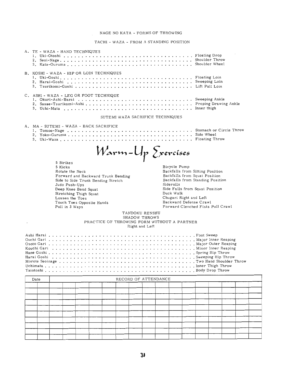# NAGE NO KATA - FORMS OF THROWING

TACHI - WAZA - FROM A STANDING POSITION

| A. TE - WAZA - HAND TECHNIQUES                                                                                                                                                                                                                           |                                                                                                                                                                                                                                                                           |
|----------------------------------------------------------------------------------------------------------------------------------------------------------------------------------------------------------------------------------------------------------|---------------------------------------------------------------------------------------------------------------------------------------------------------------------------------------------------------------------------------------------------------------------------|
| B. KOSHI - WAZA - HIP OR LOIN TECHNIQUES                                                                                                                                                                                                                 |                                                                                                                                                                                                                                                                           |
| C. ASHI - WAZA - LEG OR FOOT TECHNIQUE<br>1. Okuri-Ashi-Barai  Sweeping Ankle<br>2. Sasae-Tsurikomi-AshiProping Drawing Ankle                                                                                                                            |                                                                                                                                                                                                                                                                           |
| SUTEMI WAZA SACRIFICE TECHNIQUES                                                                                                                                                                                                                         |                                                                                                                                                                                                                                                                           |
| A. MA - SUTEMI - WAZA - BACK SACRIFICE                                                                                                                                                                                                                   |                                                                                                                                                                                                                                                                           |
| Warm-Up Exercíses                                                                                                                                                                                                                                        |                                                                                                                                                                                                                                                                           |
| 5 Strikes<br>5 Kicks<br>Rotate the Neck<br>Forward and Backward Trunk Bending<br>Side to Side Trunk Bending Stretch<br>Judo Push-Ups<br>Deep Knee Bend Squat<br>Stretching Thigh Squat<br>Lossen the Toes<br>Touch Toes Opposite Hands<br>Pull in 3 Ways | Bicycle Pump<br>Backfalls from Sitting Position<br>Backfalls from Squat Position<br>Backfalls from Standing Position<br>Siderolls<br>Side Falls from Squat Position<br>Duck Walk<br>Chugari Right and Left<br>Backward Defense Crawl<br>Forward Clenched Fists Pull Crawl |
| TANDOKU RENSHU<br>SHADOW THROWS<br>PRACTICE OF THROWING FORM WITHOUT A PARTNER                                                                                                                                                                           |                                                                                                                                                                                                                                                                           |
| Right and Left                                                                                                                                                                                                                                           |                                                                                                                                                                                                                                                                           |
|                                                                                                                                                                                                                                                          |                                                                                                                                                                                                                                                                           |

| RECORD OF ATTENDANCE<br>Date |  |  |  |  |  |  |  |  |  |  |  |  |
|------------------------------|--|--|--|--|--|--|--|--|--|--|--|--|
|                              |  |  |  |  |  |  |  |  |  |  |  |  |
|                              |  |  |  |  |  |  |  |  |  |  |  |  |
|                              |  |  |  |  |  |  |  |  |  |  |  |  |
|                              |  |  |  |  |  |  |  |  |  |  |  |  |
|                              |  |  |  |  |  |  |  |  |  |  |  |  |
|                              |  |  |  |  |  |  |  |  |  |  |  |  |
|                              |  |  |  |  |  |  |  |  |  |  |  |  |
|                              |  |  |  |  |  |  |  |  |  |  |  |  |
|                              |  |  |  |  |  |  |  |  |  |  |  |  |
|                              |  |  |  |  |  |  |  |  |  |  |  |  |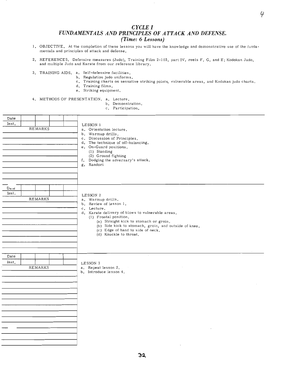## *CYCLE I FUNDAMENTALS AND PRINCIPLES OF ATTACK AND DEFENSE. (Time:* **6** *Lessons)*

- 1. OBJECTIVE. At the completion of these lessons you will have the knowledge and demonstrative use of the fundamentals and principles of attack and defense.
- 2. REFERENCES. Defensive measures (Judo), Training Film 2-103, part IV, reels F, G, and E; Kodokan Judo, and multiple Judo and Karate from our reference library.
- 3. TRAINING AIDS. a. Self-defensive facilities.
	- b. Regulation judo uniforms.
	- c. Training charts on sensative striking points, vulnerable areas, and Kodokan judo charts.

Y

- d. Training films.
- e. Striking equipment.

4. METHODS OF PRESENTATION. a. Lecture.

- b. Demonstration.
- c. Participation.

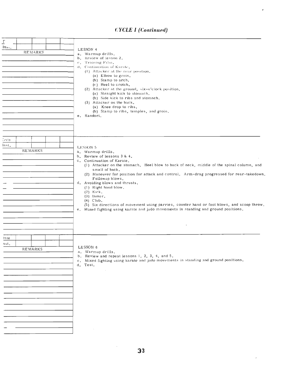# **CYCLE I (Continued)**

 $\pmb{\mathrm{v}}$ 

 $\epsilon$ 

| $\overline{L}$<br>Ins.,<br>REMARKS | LESSON 4<br>a. Warmup drills.<br>b. Review of lesson 2.<br>c. Training Film,<br>d. Continuation of Karate.<br>(1) Attacker at the rear position,<br>(a) Elbow to groin.<br>(b) Stamp to arch.<br>(c) Heel to crotch.<br>(2) Attacker at the ground, six-o'clock position.<br>(a) Straight kick to stomach.<br>(b) Side kick to ribs and stomach.<br>(3) Attacker on the back.<br>(a) Knee drop to ribs.<br>(b) Stamp to ribs, temples, and groin.<br>e. Randori.                                                                                                                                                        |
|------------------------------------|-------------------------------------------------------------------------------------------------------------------------------------------------------------------------------------------------------------------------------------------------------------------------------------------------------------------------------------------------------------------------------------------------------------------------------------------------------------------------------------------------------------------------------------------------------------------------------------------------------------------------|
| جزور<br>Inst.<br><b>REMARKS</b>    | LESSON 5<br>a. Warmup drills.<br>b. Review of lessons 3 & 4.<br>c. Continuation of Karate.<br>(1) Attacker on the stomach. Heel blow to back of neck, middle of the spinal column, and<br>small of back.<br>(2) Maneuver for position for attack and control. Arm-drag progressed for rear-takedown.<br>Followup blows.<br>d. Avoiding blows and thrusts.<br>(1) Right hand blow.<br>$(2)$ Kick.<br>$(3)$ Boxer.<br>$(4)$ Club.<br>(5) Six directions of movement using parries, counter hand or foot blows, and scoop throw.<br>Mixed fighting using karate and judo movements in standing and ground positions.<br>е. |
| )nte<br>ast.<br>REMARKS            | LESSON 6<br>a. Warmup drills.<br>b. Review and repeat lessons 1, 2, 3, 4, and 5.<br>c. Mixed fighting using karate and judo movements in standing and ground positions.<br>d. Test.<br>$\sim$                                                                                                                                                                                                                                                                                                                                                                                                                           |

 $\bar{\alpha}$ 

÷.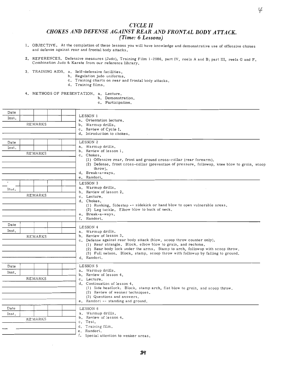## *CYCLE* **II** *CHOKES AND DEFENSE AGAINST REAR AND FRONTAL BODY ATTACK. (Time:* **6** *Lessons)*

- 1. OBJECTIVE. At the completion of these lessons you will have knowledge and demonstrative use of offensive chokes and defense against rear and frontal body attacks.
- 2. REFERENCES. Defensive measures (Judo), Training Film 1-2986, part IV, reels A and B; part III, reels G and F. Combination Judo & Karate from our reference library.
- 3. TRAINING AIDS. a. Self-defensive facilities.
	- b. Regulation judo uniforms.
	- c. Training charts on rear and frontal body attacks.
	- d. Training films.
- 4. METHODS OF PRESENTATION. a. Lecture.
	- b. Demonstration.
	- c. Participation.

| Date  |                | LESSON 1                                                                                                                             |
|-------|----------------|--------------------------------------------------------------------------------------------------------------------------------------|
| Inst. |                | a. Orientation lecture.                                                                                                              |
|       | <b>REMARKS</b> | b. Warmup drills.                                                                                                                    |
|       |                | c. Review of Cycle I.<br>d. Introduction to chokes.                                                                                  |
|       |                |                                                                                                                                      |
| Date  |                | LESSON 2                                                                                                                             |
| Inst. |                | a. Warmup drills.<br>b. Review of lesson 1.                                                                                          |
|       | <b>REMARKS</b> | c. Chokes.                                                                                                                           |
|       |                | (1) Offensive rear, front and ground cross-collar (rear forearm).                                                                    |
|       |                | (2) Defense, front cross-collar (prevention of pressure, followup, knee blow to groin, scoop                                         |
|       |                | throw).<br>d. Break-a-ways.                                                                                                          |
|       |                | e. Randori.                                                                                                                          |
|       |                | LESSON 3                                                                                                                             |
| Inst. |                | a. Warmup drills.                                                                                                                    |
|       | <b>REMARKS</b> | b. Review of lesson 2.<br>c. Lecture.                                                                                                |
|       |                | d. Chokes.                                                                                                                           |
|       |                | (1) Rushing, Sidestep -- sidekick or hand blow to open vulnerable areas.                                                             |
|       |                | (2) Leg tackle. Elbow blow to back of neck.<br>e. Break-a-ways.                                                                      |
|       |                | f. Randori.                                                                                                                          |
| Date  |                | LESSON 4                                                                                                                             |
| Inst. |                | a. Warmup drills.                                                                                                                    |
|       | <b>REMARKS</b> | b. Review of lesson 3.                                                                                                               |
|       |                | c. Defense against rear body attack (blow, scoop throw counter only).<br>(1) Rear strangle. Block, elbow blow to grain, and rechoke. |
|       |                | (2) Rear body lock under the arms. Stamp to arch, followup with scoop throw.                                                         |
|       |                | (3) Full nelson. Block, stamp, scoop throw with followup by falling to ground.                                                       |
|       |                | d. Randori.                                                                                                                          |
| Date  |                | LESSON 5                                                                                                                             |
| Inst. |                | a. Warmup drills.                                                                                                                    |
|       | REMARKS        | b. Review of lesson 4.<br>c. Lecture.                                                                                                |
|       |                | d. Continuation of lesson 4.                                                                                                         |
|       |                | (1) Side headlock: Block, stamp arch, fist blow to groin, and scoop throw.                                                           |
|       |                | (2) Review of weaker techniques.<br>(3) Questions and answers.                                                                       |
|       |                | e. Randori -- standing and ground.                                                                                                   |
| Date  |                | LESSON 6                                                                                                                             |
| Inst. |                | a. Warmup drills.                                                                                                                    |
|       | <b>REMARKS</b> | b. Review of lesson 4.                                                                                                               |
|       |                | c. Test.                                                                                                                             |
|       |                | d. Training film.<br>e. Randori.                                                                                                     |
|       |                | <i>i</i> . Special attention to weaker areas.                                                                                        |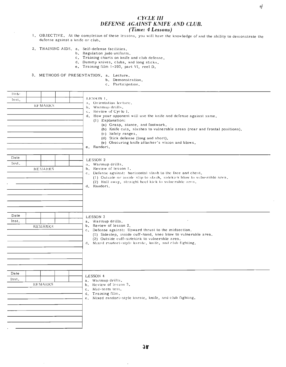## **CYCLE III** DEFENSE AGAINST KNIFE AND CLUB. (Time: 4 Lessons)

- 1. OBJECTIVE. At the completion of these lessons, you will have the knowledge of and the ability to demonstrate the defense against a knife or club.
- 2. TRAINING AIDS. a. Self-defense facilities.<br>b. Regulation judo uniform.
	-
	- c. Training charts on knife and club defense.
	- d. Dummy knives, clubs, and long sticks.
	- e. Training film 1-203, part VI, reel D.
- 3. METHODS OF PRESENTATION, a. Lecture.
	- b. Demonstration.
	- c. Participation.

| Date  |                |                                                                                                                       |
|-------|----------------|-----------------------------------------------------------------------------------------------------------------------|
| Inst. |                | LESSON 1.                                                                                                             |
|       | <b>RFMARKS</b> | a. Orientation lecture.<br>b. Warmup drills.                                                                          |
|       |                | c. Review of Cycle 1.                                                                                                 |
|       |                | d. How your opponent will use the knife and defense against same.                                                     |
|       |                | (1) Explanation:                                                                                                      |
|       |                | (a) Grasp, stance, and footwork.                                                                                      |
|       |                | (b) Knife cuts, slashes to vulnerable areas (rear and frontal positions).                                             |
|       |                | (c) Safety ranges.                                                                                                    |
|       |                | (d) Stick defense (long and short).<br>(e) Obscuring knife attacker's vision and blows.                               |
|       |                | e. Randori.                                                                                                           |
|       |                |                                                                                                                       |
| Date  |                |                                                                                                                       |
|       |                | LESSON 2                                                                                                              |
| Inst. |                | a. Warmup drills.                                                                                                     |
|       | <b>REMARKS</b> | b. Review of lesson 1.<br>c. Defense against: horizontal slash to the face and chest.                                 |
|       |                | (1) Outside or inside slip to slash, sidekick blow to vulnerable area.                                                |
|       |                | (2) Roll away, straight heel kick to vulnerable area.                                                                 |
|       |                | d. Randori.                                                                                                           |
|       |                |                                                                                                                       |
|       |                |                                                                                                                       |
|       |                |                                                                                                                       |
|       |                |                                                                                                                       |
|       |                |                                                                                                                       |
| Date  |                | LESSON 3                                                                                                              |
| Inst. |                | $\sim$<br>a. Warmup drills.                                                                                           |
|       | <b>REMARKS</b> | b. Review of lesson 2.                                                                                                |
|       |                | c. Defense against: Upward thrust to the midsection.<br>(1) Sidestep, inside cuff-hand, knee blow to vulnerable area. |
|       |                | (2) Outside cuff-sidekick to vulnerable area.                                                                         |
|       |                | d. Mixed randori-style karate, knife, and club fighting.                                                              |
|       |                |                                                                                                                       |
|       |                |                                                                                                                       |
|       |                |                                                                                                                       |
|       |                |                                                                                                                       |
|       |                |                                                                                                                       |
| Date  |                | LESSON 4                                                                                                              |
| Inst. |                | a. Warmup drills.                                                                                                     |
|       | <b>REMARKS</b> | b. Review of lesson 3.                                                                                                |
|       |                | c. Mid-term test.                                                                                                     |
|       |                | d. Training film.                                                                                                     |
|       |                | e. Mixed randori-style karate, knife, and club fighting.                                                              |
|       |                |                                                                                                                       |
|       |                |                                                                                                                       |
|       |                |                                                                                                                       |
|       |                |                                                                                                                       |
|       |                |                                                                                                                       |

 $\ddot{\phantom{a}}$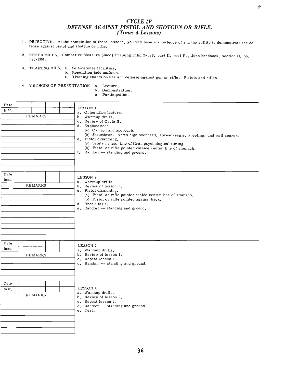## *CYCLE IV DEFENSE AGAINST PISTOL AND SHOTGUN OR RIFLE. (Time:* **4** *Lessons)*

- 1. OBJECTIVE. At the completion of these lessons, you will have a knowledge of and the ability to demonstrate the defense against pistol and shotgun or rifle.
- 2. REFERENCES. Combative Measure (Judo) Training Film 2-328, part II, reel F., Judo handbook, section D, pp. 198-206.
- 3. TRAINING AIDS. a. Self-defense facilities.
	- b. Regulation judo uniform.
	- c. Training charts on use and defense against gun or rifle. Pistols and rifles.
- 4. METHODS OF PRESENTATION. a. Lecture.

 $\cdot$ 

- b. Demonstration.
- c. Participation.

| Date<br>Inst.  |  |                |  |  | LESSON 1<br>a. Orientation lecture.                                                                                                                                                                                                                                                                                                                              |  |  |  |
|----------------|--|----------------|--|--|------------------------------------------------------------------------------------------------------------------------------------------------------------------------------------------------------------------------------------------------------------------------------------------------------------------------------------------------------------------|--|--|--|
| <b>REMARKS</b> |  |                |  |  | b. Warmup drills.<br>c. Review of Cycle II.<br>d. Explanation:<br>(a) Caution and approach.<br>(b) Shakedown. Arms high overhead, spread-eagle, kneeling, and wall search.<br>e. Pistol disarming.<br>(a) Safety range, line of fire, psychological timing.<br>(b) Pistol or rifle pointed outside center line of stomach.<br>f. Randori -- standing and ground. |  |  |  |
| Date           |  |                |  |  |                                                                                                                                                                                                                                                                                                                                                                  |  |  |  |
| Inst.          |  |                |  |  | LESSON 2<br>a. Warmup drills.                                                                                                                                                                                                                                                                                                                                    |  |  |  |
| REMARKS        |  |                |  |  | b. Review of lesson 1.                                                                                                                                                                                                                                                                                                                                           |  |  |  |
|                |  |                |  |  | c. Pistol disarming.                                                                                                                                                                                                                                                                                                                                             |  |  |  |
|                |  |                |  |  | (a) Pistol or rifle pointed inside center line of stomach.<br>(b) Pistol or rifle pointed against back.                                                                                                                                                                                                                                                          |  |  |  |
|                |  |                |  |  | d. Break-falls.<br>e. Randori -- standing and ground.                                                                                                                                                                                                                                                                                                            |  |  |  |
|                |  |                |  |  |                                                                                                                                                                                                                                                                                                                                                                  |  |  |  |
|                |  |                |  |  |                                                                                                                                                                                                                                                                                                                                                                  |  |  |  |
|                |  |                |  |  |                                                                                                                                                                                                                                                                                                                                                                  |  |  |  |
|                |  |                |  |  |                                                                                                                                                                                                                                                                                                                                                                  |  |  |  |
|                |  |                |  |  |                                                                                                                                                                                                                                                                                                                                                                  |  |  |  |
| Date           |  |                |  |  |                                                                                                                                                                                                                                                                                                                                                                  |  |  |  |
| Inst.          |  |                |  |  | LESSON 3<br>a. Warmup drills.                                                                                                                                                                                                                                                                                                                                    |  |  |  |
| REMARKS        |  |                |  |  | b. Review of lesson 1.                                                                                                                                                                                                                                                                                                                                           |  |  |  |
|                |  |                |  |  | c. Repeat lesson 1.                                                                                                                                                                                                                                                                                                                                              |  |  |  |
|                |  |                |  |  | d. Randori -- standing and ground.                                                                                                                                                                                                                                                                                                                               |  |  |  |
|                |  |                |  |  |                                                                                                                                                                                                                                                                                                                                                                  |  |  |  |
| Date           |  |                |  |  |                                                                                                                                                                                                                                                                                                                                                                  |  |  |  |
| Inst.          |  |                |  |  | LESSON 4                                                                                                                                                                                                                                                                                                                                                         |  |  |  |
|                |  | <b>REMARKS</b> |  |  | a. Warmup drills.                                                                                                                                                                                                                                                                                                                                                |  |  |  |
|                |  |                |  |  | b. Review of lesson 2.<br>c. Repeat lesson 2.                                                                                                                                                                                                                                                                                                                    |  |  |  |
|                |  |                |  |  | d. Randori -- standing and ground.                                                                                                                                                                                                                                                                                                                               |  |  |  |
|                |  |                |  |  | e. Test.                                                                                                                                                                                                                                                                                                                                                         |  |  |  |
|                |  |                |  |  |                                                                                                                                                                                                                                                                                                                                                                  |  |  |  |
|                |  |                |  |  |                                                                                                                                                                                                                                                                                                                                                                  |  |  |  |
|                |  |                |  |  |                                                                                                                                                                                                                                                                                                                                                                  |  |  |  |
|                |  |                |  |  |                                                                                                                                                                                                                                                                                                                                                                  |  |  |  |